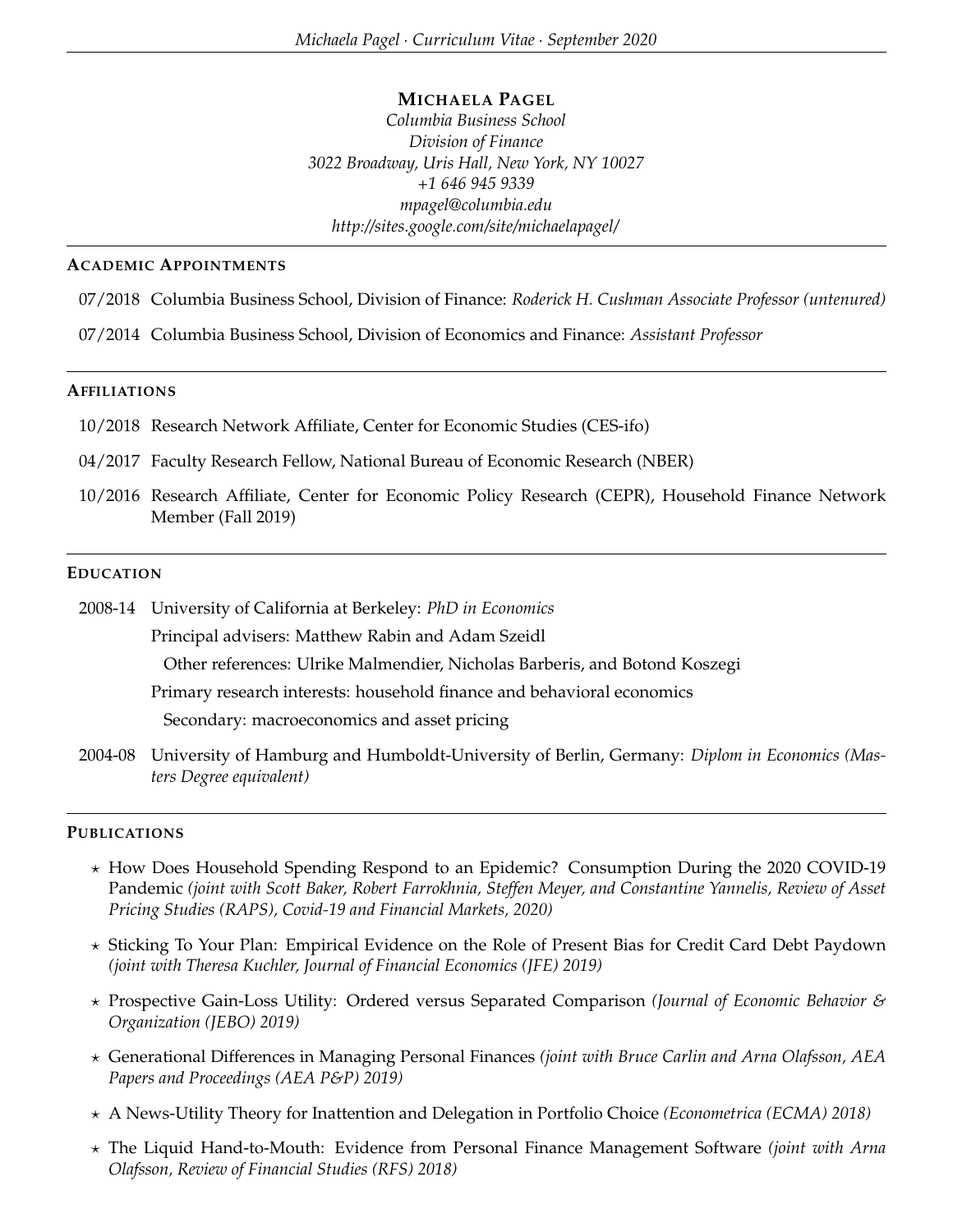### **MICHAELA PAGEL**

*Columbia Business School Division of Finance 3022 Broadway, Uris Hall, New York, NY 10027 +1 646 945 9339 mpagel@columbia.edu http://sites.google.com/site/michaelapagel/*

#### **ACADEMIC APPOINTMENTS**

- 07/2018 Columbia Business School, Division of Finance: *Roderick H. Cushman Associate Professor (untenured)*
- 07/2014 Columbia Business School, Division of Economics and Finance: *Assistant Professor*

### **AFFILIATIONS**

- 10/2018 Research Network Affiliate, Center for Economic Studies (CES-ifo)
- 04/2017 Faculty Research Fellow, National Bureau of Economic Research (NBER)
- 10/2016 Research Affiliate, Center for Economic Policy Research (CEPR), Household Finance Network Member (Fall 2019)

#### **EDUCATION**

2008-14 University of California at Berkeley: *PhD in Economics* Principal advisers: Matthew Rabin and Adam Szeidl Other references: Ulrike Malmendier, Nicholas Barberis, and Botond Koszegi Primary research interests: household finance and behavioral economics Secondary: macroeconomics and asset pricing

2004-08 University of Hamburg and Humboldt-University of Berlin, Germany: *Diplom in Economics (Masters Degree equivalent)*

#### **PUBLICATIONS**

- ? How Does Household Spending Respond to an Epidemic? Consumption During the 2020 COVID-19 Pandemic *(joint with Scott Baker, Robert Farrokhnia, Steffen Meyer, and Constantine Yannelis, Review of Asset Pricing Studies (RAPS), Covid-19 and Financial Markets, 2020)*
- ? Sticking To Your Plan: Empirical Evidence on the Role of Present Bias for Credit Card Debt Paydown *(joint with Theresa Kuchler, Journal of Financial Economics (JFE) 2019)*
- ? Prospective Gain-Loss Utility: Ordered versus Separated Comparison *(Journal of Economic Behavior & Organization (JEBO) 2019)*
- ? Generational Differences in Managing Personal Finances *(joint with Bruce Carlin and Arna Olafsson, AEA Papers and Proceedings (AEA P&P) 2019)*
- ? A News-Utility Theory for Inattention and Delegation in Portfolio Choice *(Econometrica (ECMA) 2018)*
- ? The Liquid Hand-to-Mouth: Evidence from Personal Finance Management Software *(joint with Arna Olafsson, Review of Financial Studies (RFS) 2018)*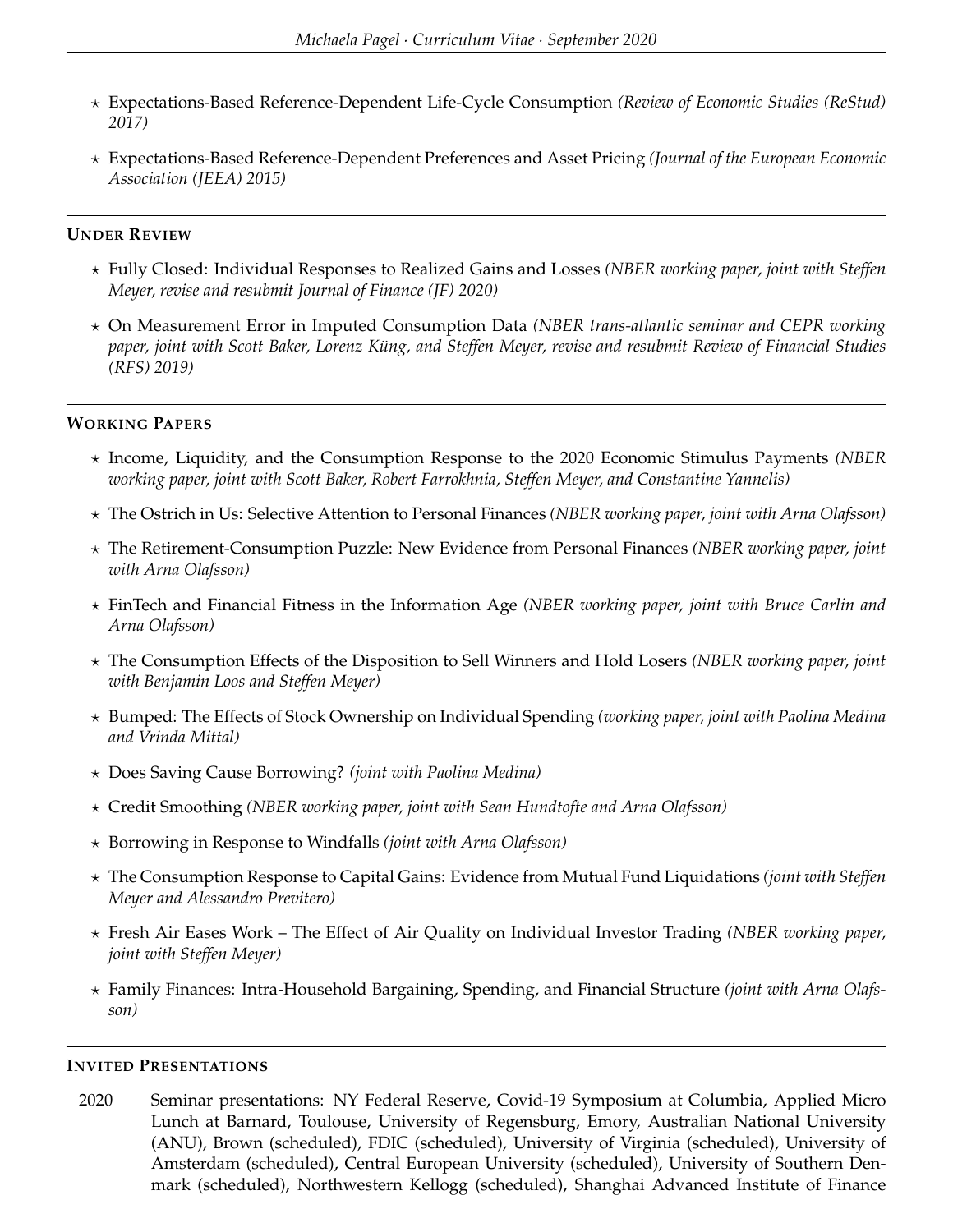- ? Expectations-Based Reference-Dependent Life-Cycle Consumption *(Review of Economic Studies (ReStud) 2017)*
- ? Expectations-Based Reference-Dependent Preferences and Asset Pricing *(Journal of the European Economic Association (JEEA) 2015)*

# **UNDER REVIEW**

- ? Fully Closed: Individual Responses to Realized Gains and Losses *(NBER working paper, joint with Steffen Meyer, revise and resubmit Journal of Finance (JF) 2020)*
- ? On Measurement Error in Imputed Consumption Data *(NBER trans-atlantic seminar and CEPR working paper, joint with Scott Baker, Lorenz Küng, and Steffen Meyer, revise and resubmit Review of Financial Studies (RFS) 2019)*

## **WORKING PAPERS**

- ? Income, Liquidity, and the Consumption Response to the 2020 Economic Stimulus Payments *(NBER working paper, joint with Scott Baker, Robert Farrokhnia, Steffen Meyer, and Constantine Yannelis)*
- ? The Ostrich in Us: Selective Attention to Personal Finances *(NBER working paper, joint with Arna Olafsson)*
- ? The Retirement-Consumption Puzzle: New Evidence from Personal Finances *(NBER working paper, joint with Arna Olafsson)*
- ? FinTech and Financial Fitness in the Information Age *(NBER working paper, joint with Bruce Carlin and Arna Olafsson)*
- ? The Consumption Effects of the Disposition to Sell Winners and Hold Losers *(NBER working paper, joint with Benjamin Loos and Steffen Meyer)*
- ? Bumped: The Effects of Stock Ownership on Individual Spending *(working paper, joint with Paolina Medina and Vrinda Mittal)*
- ? Does Saving Cause Borrowing? *(joint with Paolina Medina)*
- ? Credit Smoothing *(NBER working paper, joint with Sean Hundtofte and Arna Olafsson)*
- ? Borrowing in Response to Windfalls *(joint with Arna Olafsson)*
- ? The Consumption Response to Capital Gains: Evidence from Mutual Fund Liquidations *(joint with Steffen Meyer and Alessandro Previtero)*
- ? Fresh Air Eases Work The Effect of Air Quality on Individual Investor Trading *(NBER working paper, joint with Steffen Meyer)*
- ? Family Finances: Intra-Household Bargaining, Spending, and Financial Structure *(joint with Arna Olafsson)*

### **INVITED PRESENTATIONS**

2020 Seminar presentations: NY Federal Reserve, Covid-19 Symposium at Columbia, Applied Micro Lunch at Barnard, Toulouse, University of Regensburg, Emory, Australian National University (ANU), Brown (scheduled), FDIC (scheduled), University of Virginia (scheduled), University of Amsterdam (scheduled), Central European University (scheduled), University of Southern Denmark (scheduled), Northwestern Kellogg (scheduled), Shanghai Advanced Institute of Finance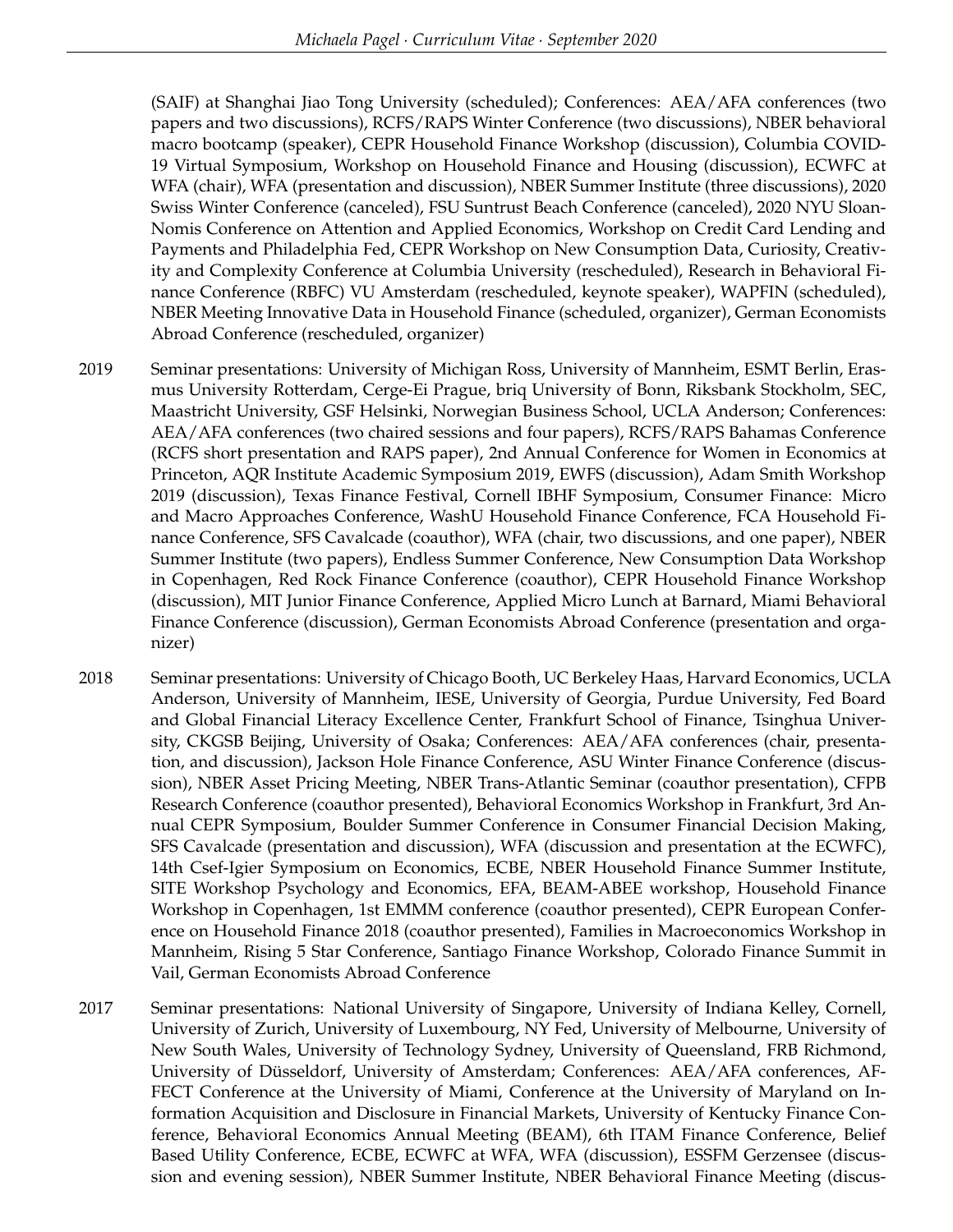(SAIF) at Shanghai Jiao Tong University (scheduled); Conferences: AEA/AFA conferences (two papers and two discussions), RCFS/RAPS Winter Conference (two discussions), NBER behavioral macro bootcamp (speaker), CEPR Household Finance Workshop (discussion), Columbia COVID-19 Virtual Symposium, Workshop on Household Finance and Housing (discussion), ECWFC at WFA (chair), WFA (presentation and discussion), NBER Summer Institute (three discussions), 2020 Swiss Winter Conference (canceled), FSU Suntrust Beach Conference (canceled), 2020 NYU Sloan-Nomis Conference on Attention and Applied Economics, Workshop on Credit Card Lending and Payments and Philadelphia Fed, CEPR Workshop on New Consumption Data, Curiosity, Creativity and Complexity Conference at Columbia University (rescheduled), Research in Behavioral Finance Conference (RBFC) VU Amsterdam (rescheduled, keynote speaker), WAPFIN (scheduled), NBER Meeting Innovative Data in Household Finance (scheduled, organizer), German Economists Abroad Conference (rescheduled, organizer)

- 2019 Seminar presentations: University of Michigan Ross, University of Mannheim, ESMT Berlin, Erasmus University Rotterdam, Cerge-Ei Prague, briq University of Bonn, Riksbank Stockholm, SEC, Maastricht University, GSF Helsinki, Norwegian Business School, UCLA Anderson; Conferences: AEA/AFA conferences (two chaired sessions and four papers), RCFS/RAPS Bahamas Conference (RCFS short presentation and RAPS paper), 2nd Annual Conference for Women in Economics at Princeton, AQR Institute Academic Symposium 2019, EWFS (discussion), Adam Smith Workshop 2019 (discussion), Texas Finance Festival, Cornell IBHF Symposium, Consumer Finance: Micro and Macro Approaches Conference, WashU Household Finance Conference, FCA Household Finance Conference, SFS Cavalcade (coauthor), WFA (chair, two discussions, and one paper), NBER Summer Institute (two papers), Endless Summer Conference, New Consumption Data Workshop in Copenhagen, Red Rock Finance Conference (coauthor), CEPR Household Finance Workshop (discussion), MIT Junior Finance Conference, Applied Micro Lunch at Barnard, Miami Behavioral Finance Conference (discussion), German Economists Abroad Conference (presentation and organizer)
- 2018 Seminar presentations: University of Chicago Booth, UC Berkeley Haas, Harvard Economics, UCLA Anderson, University of Mannheim, IESE, University of Georgia, Purdue University, Fed Board and Global Financial Literacy Excellence Center, Frankfurt School of Finance, Tsinghua University, CKGSB Beijing, University of Osaka; Conferences: AEA/AFA conferences (chair, presentation, and discussion), Jackson Hole Finance Conference, ASU Winter Finance Conference (discussion), NBER Asset Pricing Meeting, NBER Trans-Atlantic Seminar (coauthor presentation), CFPB Research Conference (coauthor presented), Behavioral Economics Workshop in Frankfurt, 3rd Annual CEPR Symposium, Boulder Summer Conference in Consumer Financial Decision Making, SFS Cavalcade (presentation and discussion), WFA (discussion and presentation at the ECWFC), 14th Csef-Igier Symposium on Economics, ECBE, NBER Household Finance Summer Institute, SITE Workshop Psychology and Economics, EFA, BEAM-ABEE workshop, Household Finance Workshop in Copenhagen, 1st EMMM conference (coauthor presented), CEPR European Conference on Household Finance 2018 (coauthor presented), Families in Macroeconomics Workshop in Mannheim, Rising 5 Star Conference, Santiago Finance Workshop, Colorado Finance Summit in Vail, German Economists Abroad Conference
- 2017 Seminar presentations: National University of Singapore, University of Indiana Kelley, Cornell, University of Zurich, University of Luxembourg, NY Fed, University of Melbourne, University of New South Wales, University of Technology Sydney, University of Queensland, FRB Richmond, University of Düsseldorf, University of Amsterdam; Conferences: AEA/AFA conferences, AF-FECT Conference at the University of Miami, Conference at the University of Maryland on Information Acquisition and Disclosure in Financial Markets, University of Kentucky Finance Conference, Behavioral Economics Annual Meeting (BEAM), 6th ITAM Finance Conference, Belief Based Utility Conference, ECBE, ECWFC at WFA, WFA (discussion), ESSFM Gerzensee (discussion and evening session), NBER Summer Institute, NBER Behavioral Finance Meeting (discus-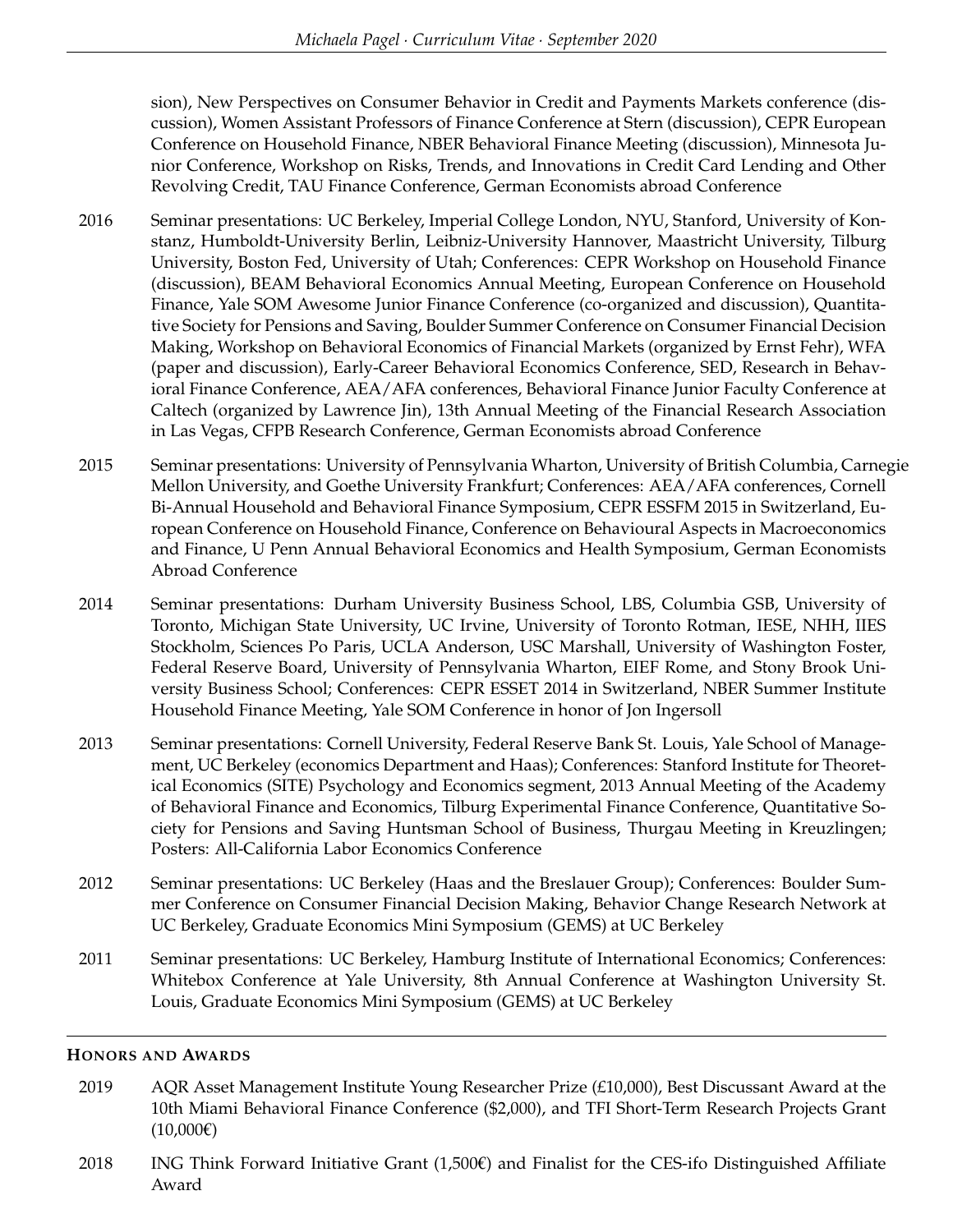sion), New Perspectives on Consumer Behavior in Credit and Payments Markets conference (discussion), Women Assistant Professors of Finance Conference at Stern (discussion), CEPR European Conference on Household Finance, NBER Behavioral Finance Meeting (discussion), Minnesota Junior Conference, Workshop on Risks, Trends, and Innovations in Credit Card Lending and Other Revolving Credit, TAU Finance Conference, German Economists abroad Conference

- 2016 Seminar presentations: UC Berkeley, Imperial College London, NYU, Stanford, University of Konstanz, Humboldt-University Berlin, Leibniz-University Hannover, Maastricht University, Tilburg University, Boston Fed, University of Utah; Conferences: CEPR Workshop on Household Finance (discussion), BEAM Behavioral Economics Annual Meeting, European Conference on Household Finance, Yale SOM Awesome Junior Finance Conference (co-organized and discussion), Quantitative Society for Pensions and Saving, Boulder Summer Conference on Consumer Financial Decision Making, Workshop on Behavioral Economics of Financial Markets (organized by Ernst Fehr), WFA (paper and discussion), Early-Career Behavioral Economics Conference, SED, Research in Behavioral Finance Conference, AEA/AFA conferences, Behavioral Finance Junior Faculty Conference at Caltech (organized by Lawrence Jin), 13th Annual Meeting of the Financial Research Association in Las Vegas, CFPB Research Conference, German Economists abroad Conference
- 2015 Seminar presentations: University of Pennsylvania Wharton, University of British Columbia, Carnegie Mellon University, and Goethe University Frankfurt; Conferences: AEA/AFA conferences, Cornell Bi-Annual Household and Behavioral Finance Symposium, CEPR ESSFM 2015 in Switzerland, European Conference on Household Finance, Conference on Behavioural Aspects in Macroeconomics and Finance, U Penn Annual Behavioral Economics and Health Symposium, German Economists Abroad Conference
- 2014 Seminar presentations: Durham University Business School, LBS, Columbia GSB, University of Toronto, Michigan State University, UC Irvine, University of Toronto Rotman, IESE, NHH, IIES Stockholm, Sciences Po Paris, UCLA Anderson, USC Marshall, University of Washington Foster, Federal Reserve Board, University of Pennsylvania Wharton, EIEF Rome, and Stony Brook University Business School; Conferences: CEPR ESSET 2014 in Switzerland, NBER Summer Institute Household Finance Meeting, Yale SOM Conference in honor of Jon Ingersoll
- 2013 Seminar presentations: Cornell University, Federal Reserve Bank St. Louis, Yale School of Management, UC Berkeley (economics Department and Haas); Conferences: Stanford Institute for Theoretical Economics (SITE) Psychology and Economics segment, 2013 Annual Meeting of the Academy of Behavioral Finance and Economics, Tilburg Experimental Finance Conference, Quantitative Society for Pensions and Saving Huntsman School of Business, Thurgau Meeting in Kreuzlingen; Posters: All-California Labor Economics Conference
- 2012 Seminar presentations: UC Berkeley (Haas and the Breslauer Group); Conferences: Boulder Summer Conference on Consumer Financial Decision Making, Behavior Change Research Network at UC Berkeley, Graduate Economics Mini Symposium (GEMS) at UC Berkeley
- 2011 Seminar presentations: UC Berkeley, Hamburg Institute of International Economics; Conferences: Whitebox Conference at Yale University, 8th Annual Conference at Washington University St. Louis, Graduate Economics Mini Symposium (GEMS) at UC Berkeley

### **HONORS AND AWARDS**

- 2019 AQR Asset Management Institute Young Researcher Prize (£10,000), Best Discussant Award at the 10th Miami Behavioral Finance Conference (\$2,000), and TFI Short-Term Research Projects Grant  $(10,000€)$
- 2018 ING Think Forward Initiative Grant (1,500€) and Finalist for the CES-ifo Distinguished Affiliate Award